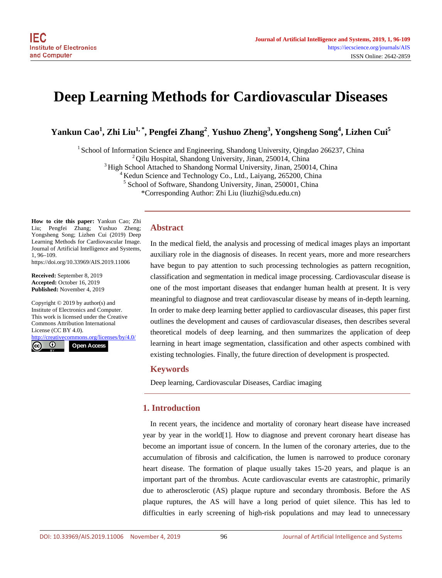# **Deep Learning Methods for Cardiovascular Diseases**

 $\bold{Y}$ ankun Cao $^1$ , Zhi Liu $^{1,\, *}$ , Pengfei Zhang $^2$ , Yushuo Zheng $^3$ , Yongsheng Song $^4$ , Lizhen Cui $^5$ 

<sup>1</sup> School of Information Science and Engineering, Shandong University, Qingdao 266237, China<br><sup>2</sup> Qilu Hospital, Shandong University, Jinan, 250014, China<br><sup>3</sup> High School Attached to Shandong Normal University, Jinan, 250

\*Corresponding Author: Zhi Liu (liuzhi@sdu.edu.cn)

**How to cite this paper:** Yankun Cao; Zhi Liu; Pengfei Zhang; Yushuo Zheng; Yongsheng Song; Lizhen Cui (2019) Deep Learning Methods for Cardiovascular Image. Journal of Artificial Intelligence and Systems, 1, 96–109.

https://doi.org/10.33969/AIS.2019.11006

**Received:** September 8, 2019 **Accepted:** October 16, 2019 **Published:** November 4, 2019

Copyright © 2019 by author(s) and Institute of Electronics and Computer. This work is licensed under the Creative Commons Attribution International License (CC BY 4.0).

ativecommons.org/licenses/by/4.0/  $\odot$ <sub>cc</sub> **Open Access**

## **Abstract**

In the medical field, the analysis and processing of medical images plays an important auxiliary role in the diagnosis of diseases. In recent years, more and more researchers have begun to pay attention to such processing technologies as pattern recognition, classification and segmentation in medical image processing. Cardiovascular disease is one of the most important diseases that endanger human health at present. It is very meaningful to diagnose and treat cardiovascular disease by means of in-depth learning. In order to make deep learning better applied to cardiovascular diseases, this paper first outlines the development and causes of cardiovascular diseases, then describes several theoretical models of deep learning, and then summarizes the application of deep learning in heart image segmentation, classification and other aspects combined with existing technologies. Finally, the future direction of development is prospected.

#### **Keywords**

Deep learning, Cardiovascular Diseases, Cardiac imaging

# **1. Introduction**

In recent years, the incidence and mortality of coronary heart disease have increased year by year in the worl[d\[1\].](#page-10-0) How to diagnose and prevent coronary heart disease has become an important issue of concern. In the lumen of the coronary arteries, due to the accumulation of fibrosis and calcification, the lumen is narrowed to produce coronary heart disease. The formation of plaque usually takes 15-20 years, and plaque is an important part of the thrombus. Acute cardiovascular events are catastrophic, primarily due to atherosclerotic (AS) plaque rupture and secondary thrombosis. Before the AS plaque ruptures, the AS will have a long period of quiet silence. This has led to difficulties in early screening of high-risk populations and may lead to unnecessary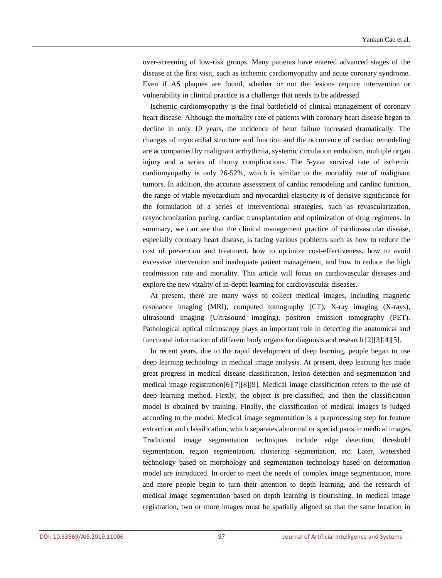over-screening of low-risk groups. Many patients have entered advanced stages of the disease at the first visit, such as ischemic cardiomyopathy and acute coronary syndrome. Even if AS plaques are found, whether or not the lesions require intervention or vulnerability in clinical practice is a challenge that needs to be addressed.

Ischemic cardiomyopathy is the final battlefield of clinical management of coronary heart disease. Although the mortality rate of patients with coronary heart disease began to decline in only 10 years, the incidence of heart failure increased dramatically. The changes of myocardial structure and function and the occurrence of cardiac remodeling are accompanied by malignant arrhythmia, systemic circulation embolism, multiple organ injury and a series of thorny complications. The 5-year survival rate of ischemic cardiomyopathy is only 26-52%, which is similar to the mortality rate of malignant tumors. In addition, the accurate assessment of cardiac remodeling and cardiac function, the range of viable myocardium and myocardial elasticity is of decisive significance for the formulation of a series of interventional strategies, such as revascularization, resynchronization pacing, cardiac transplantation and optimization of drug regimens. In summary, we can see that the clinical management practice of cardiovascular disease, especially coronary heart disease, is facing various problems such as how to reduce the cost of prevention and treatment, how to optimize cost-effectiveness, how to avoid excessive intervention and inadequate patient management, and how to reduce the high readmission rate and mortality. This article will focus on cardiovascular diseases and explore the new vitality of in-depth learning for cardiovascular diseases.

At present, there are many ways to collect medical images, including magnetic resonance imaging (MRI), computed tomography (CT), X-ray imaging (X-rays), ultrasound imaging (Ultrasound imaging), positron emission tomography (PET). Pathological optical microscopy plays an important role in detecting the anatomical and functional information of different body organs for diagnosis and research [\[2\]\[3\]](#page-10-1)[\[4\]\[5\].](#page-10-2)

In recent years, due to the rapid development of deep learning, people began to use deep learning technology in medical image analysis. At present, deep learning has made great progress in medical disease classification, lesion detection and segmentation and medical image registratio[n\[6\]\[7\]](#page-10-3)[\[8\]\[9\].](#page-10-4) Medical image classification refers to the use of deep learning method. Firstly, the object is pre-classified, and then the classification model is obtained by training. Finally, the classification of medical images is judged according to the model. Medical image segmentation is a preprocessing step for feature extraction and classification, which separates abnormal or special parts in medical images. Traditional image segmentation techniques include edge detection, threshold segmentation, region segmentation, clustering segmentation, etc. Later, watershed technology based on morphology and segmentation technology based on deformation model are introduced. In order to meet the needs of complex image segmentation, more and more people begin to turn their attention to depth learning, and the research of medical image segmentation based on depth learning is flourishing. In medical image registration, two or more images must be spatially aligned so that the same location in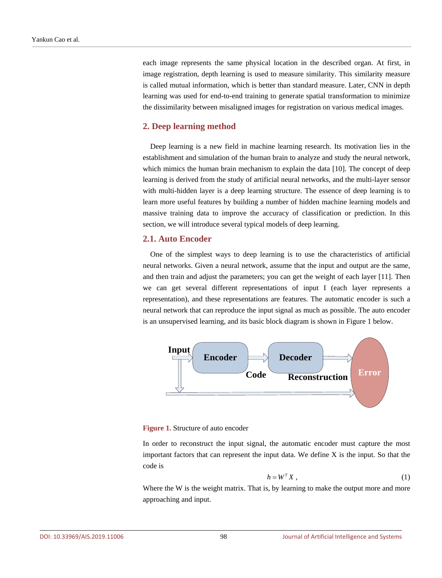each image represents the same physical location in the described organ. At first, in image registration, depth learning is used to measure similarity. This similarity measure is called mutual information, which is better than standard measure. Later, CNN in depth learning was used for end-to-end training to generate spatial transformation to minimize the dissimilarity between misaligned images for registration on various medical images.

## **2. Deep learning method**

Deep learning is a new field in machine learning research. Its motivation lies in the establishment and simulation of the human brain to analyze and study the neural network, which mimics the human brain mechanism to explain the data [\[10\].](#page-11-0) The concept of deep learning is derived from the study of artificial neural networks, and the multi-layer sensor with multi-hidden layer is a deep learning structure. The essence of deep learning is to learn more useful features by building a number of hidden machine learning models and massive training data to improve the accuracy of classification or prediction. In this section, we will introduce several typical models of deep learning.

## **2.1. Auto Encoder**

One of the simplest ways to deep learning is to use the characteristics of artificial neural networks. Given a neural network, assume that the input and output are the same, and then train and adjust the parameters; you can get the weight of each layer [\[11\].](#page-11-1) Then we can get several different representations of input I (each layer represents a representation), and these representations are features. The automatic encoder is such a neural network that can reproduce the input signal as much as possible. The auto encoder is an unsupervised learning, and its basic block diagram is shown in Figure 1 below.



#### **Figure 1.** Structure of auto encoder

In order to reconstruct the input signal, the automatic encoder must capture the most important factors that can represent the input data. We define X is the input. So that the code is

$$
h = W^T X \tag{1}
$$

Where the W is the weight matrix. That is, by learning to make the output more and more approaching and input.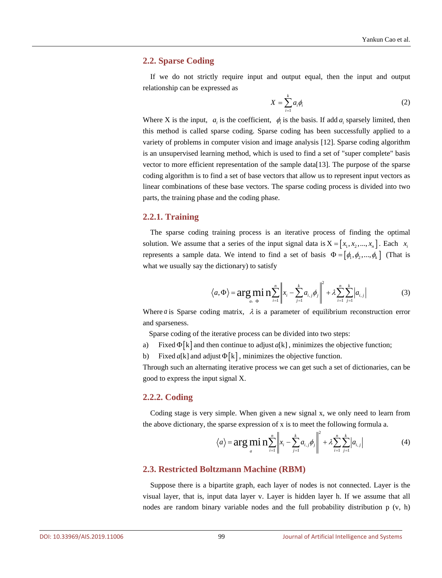#### **2.2. Sparse Coding**

If we do not strictly require input and output equal, then the input and output relationship can be expressed as

$$
X = \sum_{i=1}^{k} a_i \phi_i \tag{2}
$$

Where X is the input,  $a_i$  is the coefficient,  $\phi_i$  is the basis. If add  $a_i$  sparsely limited, then this method is called sparse coding. Sparse coding has been successfully applied to a variety of problems in computer vision and image analysis [\[12\].](#page-11-2) Sparse coding algorithm is an unsupervised learning method, which is used to find a set of "super complete" basis vector to more efficient representation of the sample dat[a\[13\].](#page-11-3) The purpose of the sparse coding algorithm is to find a set of base vectors that allow us to represent input vectors as linear combinations of these base vectors. The sparse coding process is divided into two parts, the training phase and the coding phase.

## **2.2.1. Training**

The sparse coding training process is an iterative process of finding the optimal solution. We assume that a series of the input signal data is  $X = [x_1, x_2, ..., x_n]$ . Each  $x_i$ represents a sample data. We intend to find a set of basis  $\Phi = [\phi_1, \phi_2, ..., \phi_k]$  (That is what we usually say the dictionary) to satisfy

$$
\langle a, \Phi \rangle = \arg \min_{a, \Phi} \sum_{i=1}^{n} \left\| x_i - \sum_{j=1}^{k} a_{i,j} \phi_j \right\|^2 + \lambda \sum_{i=1}^{n} \sum_{j=1}^{k} |a_{i,j}|
$$
(3)

Where *a* is Sparse coding matrix,  $\lambda$  is a parameter of equilibrium reconstruction error and sparseness.

Sparse coding of the iterative process can be divided into two steps:

- a) Fixed Φ[k] and then continue to adjust *a*[k] , minimizes the objective function;
- b) Fixed *a*[k] and adjust  $\Phi$ [k], minimizes the objective function.

Through such an alternating iterative process we can get such a set of dictionaries, can be good to express the input signal X.

## **2.2.2. Coding**

Coding stage is very simple. When given a new signal x, we only need to learn from the above dictionary, the sparse expression of x is to meet the following formula a.

$$
\langle a \rangle = \arg\min_{a} \frac{1}{n} \sum_{i=1}^{n} \left\| x_i - \sum_{j=1}^{k} a_{i,j} \phi_j \right\|^2 + \lambda \sum_{i=1}^{n} \sum_{j=1}^{k} \left| a_{i,j} \right| \tag{4}
$$

#### **2.3. Restricted Boltzmann Machine (RBM)**

Suppose there is a bipartite graph, each layer of nodes is not connected. Layer is the visual layer, that is, input data layer v. Layer is hidden layer h. If we assume that all nodes are random binary variable nodes and the full probability distribution p (v, h)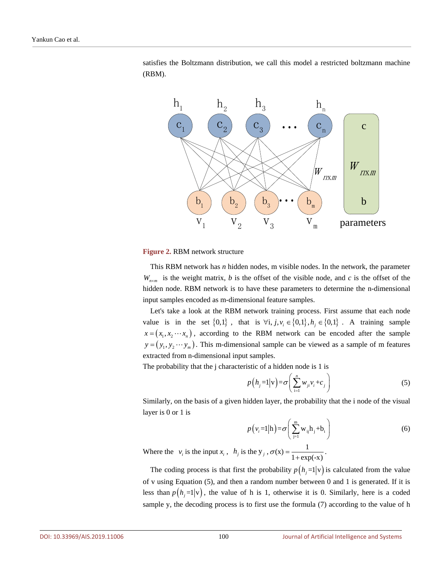satisfies the Boltzmann distribution, we call this model a restricted boltzmann machine (RBM).



#### **Figure 2.** RBM network structure

This RBM network has *n* hidden nodes, m visible nodes. In the network, the parameter  $W_{n \times m}$  is the weight matrix, *b* is the offset of the visible node, and *c* is the offset of the hidden node. RBM network is to have these parameters to determine the n-dimensional input samples encoded as m-dimensional feature samples.

Let's take a look at the RBM network training process. First assume that each node value is in the set  $\{0,1\}$ , that is  $\forall i, j, v_i \in \{0,1\}$ ,  $h_i \in \{0,1\}$ . A training sample  $x = (x_1, x_2 \cdots x_n)$ , according to the RBM network can be encoded after the sample  $y = (y_1, y_2 \cdots y_m)$ . This m-dimensional sample can be viewed as a sample of m features extracted from n-dimensional input samples.

The probability that the j characteristic of a hidden node is 1 is

$$
p\left(h_{j}=1|\mathbf{v}\right)=\sigma\left(\sum_{i=1}^{n}w_{ji}v_{i}+c_{j}\right)
$$
\n<sup>(5)</sup>

Similarly, on the basis of a given hidden layer, the probability that the i node of the visual layer is 0 or 1 is

$$
p(v_i=1|h) = \sigma\left(\sum_{j=1}^m w_{ij}h_j + b_i\right)
$$
 (6)

Where the  $v_i$  is the input  $x_i$ ,  $h_j$  is the  $y_j$ ,  $\sigma(x) = \frac{1}{1 + \exp(-x)}$ .

The coding process is that first the probability  $p(h,=1|\mathbf{v})$  is calculated from the value of v using Equation (5), and then a random number between 0 and 1 is generated. If it is less than  $p(h_i=1|\mathbf{v})$ , the value of h is 1, otherwise it is 0. Similarly, here is a coded sample y, the decoding process is to first use the formula (7) according to the value of h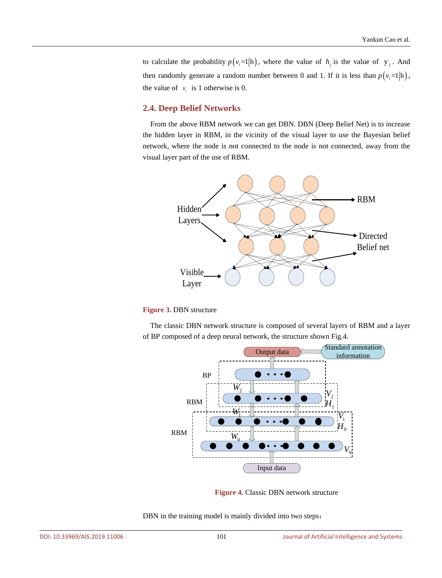to calculate the probability  $p(v_i=1|h)$ , where the value of  $h_i$  is the value of  $y_i$ . And then randomly generate a random number between 0 and 1. If it is less than  $p(v_i=1|h)$ , the value of  $v_i$  is 1 otherwise is 0.

## **2.4. Deep Belief Networks**

From the above RBM network we can get DBN. DBN (Deep Belief Net) is to increase the hidden layer in RBM, in the vicinity of the visual layer to use the Bayesian belief network, where the node is not connected to the node is not connected, away from the visual layer part of the use of RBM.



#### **Figure 3.** DBN structure

The classic DBN network structure is composed of several layers of RBM and a layer of BP composed of a deep neural network, the structure shown Fig.4.



**Figure 4.** Classic DBN network structure

DBN in the training model is mainly divided into two steps: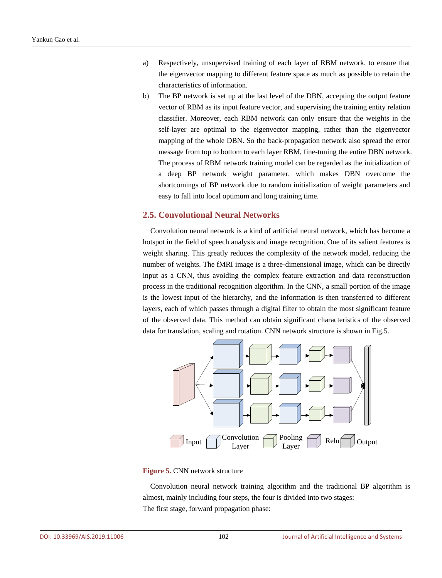- a) Respectively, unsupervised training of each layer of RBM network, to ensure that the eigenvector mapping to different feature space as much as possible to retain the characteristics of information.
- b) The BP network is set up at the last level of the DBN, accepting the output feature vector of RBM as its input feature vector, and supervising the training entity relation classifier. Moreover, each RBM network can only ensure that the weights in the self-layer are optimal to the eigenvector mapping, rather than the eigenvector mapping of the whole DBN. So the back-propagation network also spread the error message from top to bottom to each layer RBM, fine-tuning the entire DBN network. The process of RBM network training model can be regarded as the initialization of a deep BP network weight parameter, which makes DBN overcome the shortcomings of BP network due to random initialization of weight parameters and easy to fall into local optimum and long training time.

## **2.5. Convolutional Neural Networks**

 Convolution neural network is a kind of artificial neural network, which has become a hotspot in the field of speech analysis and image recognition. One of its salient features is weight sharing. This greatly reduces the complexity of the network model, reducing the number of weights. The fMRI image is a three-dimensional image, which can be directly input as a CNN, thus avoiding the complex feature extraction and data reconstruction process in the traditional recognition algorithm. In the CNN, a small portion of the image is the lowest input of the hierarchy, and the information is then transferred to different layers, each of which passes through a digital filter to obtain the most significant feature of the observed data. This method can obtain significant characteristics of the observed data for translation, scaling and rotation. CNN network structure is shown in Fig.5.



**Figure 5.** CNN network structure

Convolution neural network training algorithm and the traditional BP algorithm is almost, mainly including four steps, the four is divided into two stages: The first stage, forward propagation phase: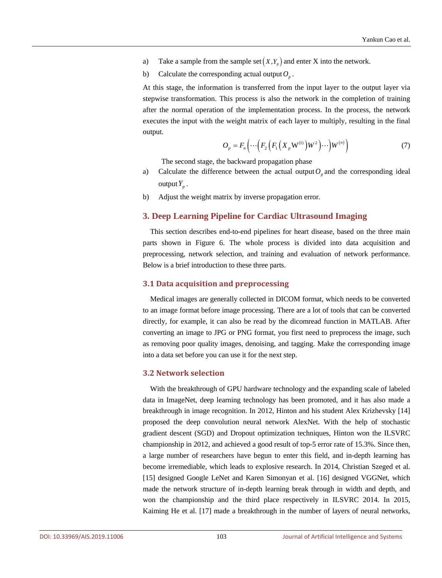- a) Take a sample from the sample set  $(X, Y_n)$  and enter X into the network.
- b) Calculate the corresponding actual output  $O_p$ .

At this stage, the information is transferred from the input layer to the output layer via stepwise transformation. This process is also the network in the completion of training after the normal operation of the implementation process. In the process, the network executes the input with the weight matrix of each layer to multiply, resulting in the final output.

$$
O_p = F_n\left(\cdots\left(F_2\left(F_1\left(X_p \mathbf{W}^{(1)}\right) \mathbf{W}^2\right) \cdots\right) \mathbf{W}^{(n)}\right) \tag{7}
$$

The second stage, the backward propagation phase

- a) Calculate the difference between the actual output  $O_p$  and the corresponding ideal output  $Y_p$ .
- b) Adjust the weight matrix by inverse propagation error.

## **3. Deep Learning Pipeline for Cardiac Ultrasound Imaging**

This section describes end-to-end pipelines for heart disease, based on the three main parts shown in Figure 6. The whole process is divided into data acquisition and preprocessing, network selection, and training and evaluation of network performance. Below is a brief introduction to these three parts.

## **3.1 Data acquisition and preprocessing**

Medical images are generally collected in DICOM format, which needs to be converted to an image format before image processing. There are a lot of tools that can be converted directly, for example, it can also be read by the dicomread function in MATLAB. After converting an image to JPG or PNG format, you first need to preprocess the image, such as removing poor quality images, denoising, and tagging. Make the corresponding image into a data set before you can use it for the next step.

#### **3.2 Network selection**

With the breakthrough of GPU hardware technology and the expanding scale of labeled data in ImageNet, deep learning technology has been promoted, and it has also made a breakthrough in image recognition. In 2012, Hinton and his student Alex Krizhevsky [\[14\]](#page-11-4) proposed the deep convolution neural network AlexNet. With the help of stochastic gradient descent (SGD) and Dropout optimization techniques, Hinton won the ILSVRC championship in 2012, and achieved a good result of top-5 error rate of 15.3%. Since then, a large number of researchers have begun to enter this field, and in-depth learning has become irremediable, which leads to explosive research. In 2014, Christian Szeged et al. [\[15\]](#page-11-5) designed Google LeNet and Karen Simonyan et al. [\[16\]](#page-11-6) designed VGGNet, which made the network structure of in-depth learning break through in width and depth, and won the championship and the third place respectively in ILSVRC 2014. In 2015, Kaiming He et al. [\[17\]](#page-11-7) made a breakthrough in the number of layers of neural networks,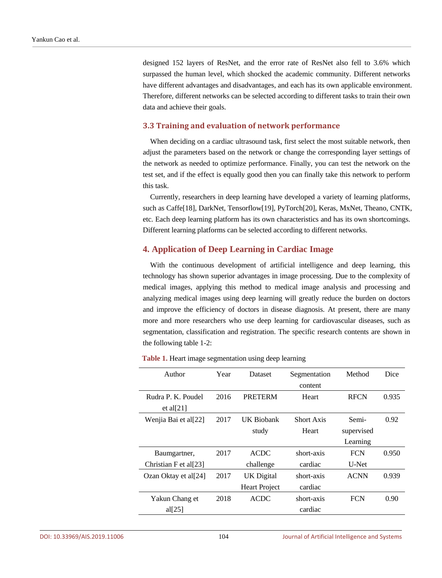designed 152 layers of ResNet, and the error rate of ResNet also fell to 3.6% which surpassed the human level, which shocked the academic community. Different networks have different advantages and disadvantages, and each has its own applicable environment. Therefore, different networks can be selected according to different tasks to train their own data and achieve their goals.

#### **3.3 Training and evaluation of network performance**

When deciding on a cardiac ultrasound task, first select the most suitable network, then adjust the parameters based on the network or change the corresponding layer settings of the network as needed to optimize performance. Finally, you can test the network on the test set, and if the effect is equally good then you can finally take this network to perform this task.

Currently, researchers in deep learning have developed a variety of learning platforms, such as Caff[e\[18\],](#page-11-8) DarkNet, Tensorflo[w\[19\],](#page-11-9) PyTorc[h\[20\],](#page-11-10) Keras, MxNet, Theano, CNTK, etc. Each deep learning platform has its own characteristics and has its own shortcomings. Different learning platforms can be selected according to different networks.

## **4. Application of Deep Learning in Cardiac Image**

With the continuous development of artificial intelligence and deep learning, this technology has shown superior advantages in image processing. Due to the complexity of medical images, applying this method to medical image analysis and processing and analyzing medical images using deep learning will greatly reduce the burden on doctors and improve the efficiency of doctors in disease diagnosis. At present, there are many more and more researchers who use deep learning for cardiovascular diseases, such as segmentation, classification and registration. The specific research contents are shown in the following table 1-2:

| Author                            | Year | Dataset              | Segmentation      | Method      | Dice  |
|-----------------------------------|------|----------------------|-------------------|-------------|-------|
|                                   |      |                      | content           |             |       |
| Rudra P. K. Poudel                | 2016 | <b>PRETERM</b>       | Heart             | <b>RFCN</b> | 0.935 |
| et al $[21]$                      |      |                      |                   |             |       |
| Wenjia Bai et al[22]              | 2017 | UK Biobank           | <b>Short Axis</b> | Semi-       | 0.92  |
|                                   |      | study                | Heart             | supervised  |       |
|                                   |      |                      |                   | Learning    |       |
| Baumgartner,                      | 2017 | <b>ACDC</b>          | short-axis        | <b>FCN</b>  | 0.950 |
| Christian F et al <sup>[23]</sup> |      | challenge            | cardiac           | U-Net       |       |
| Ozan Oktay et al[24]              | 2017 | UK Digital           | short-axis        | <b>ACNN</b> | 0.939 |
|                                   |      | <b>Heart Project</b> | cardiac           |             |       |
| Yakun Chang et                    | 2018 | <b>ACDC</b>          | short-axis        | <b>FCN</b>  | 0.90  |
| al $[25]$                         |      |                      | cardiac           |             |       |

**Table 1.** Heart image segmentation using deep learning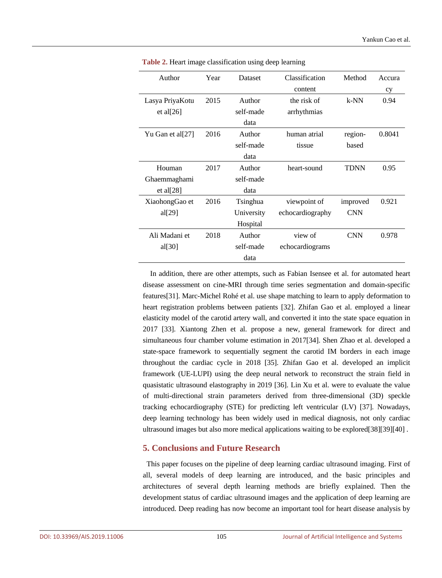| Author           | Year | <b>Dataset</b> | Classification   | Method      | Accura |
|------------------|------|----------------|------------------|-------------|--------|
|                  |      |                | content          |             | cy     |
| Lasya PriyaKotu  | 2015 | Author         | the risk of      | $k-NN$      | 0.94   |
| et al $[26]$     |      | self-made      | arrhythmias      |             |        |
|                  |      | data           |                  |             |        |
| Yu Gan et al[27] | 2016 | Author         | human atrial     | region-     | 0.8041 |
|                  |      | self-made      | tissue           | based       |        |
|                  |      | data           |                  |             |        |
| Houman           | 2017 | Author         | heart-sound      | <b>TDNN</b> | 0.95   |
| Ghaemmaghami     |      | self-made      |                  |             |        |
| et al $[28]$     |      | data           |                  |             |        |
| XiaohongGao et   | 2016 | Tsinghua       | viewpoint of     | improved    | 0.921  |
| al $[29]$        |      | University     | echocardiography | <b>CNN</b>  |        |
|                  |      | Hospital       |                  |             |        |
| Ali Madani et    | 2018 | Author         | view of          | <b>CNN</b>  | 0.978  |
| al[30]           |      | self-made      | echocardiograms  |             |        |
|                  |      | data           |                  |             |        |

**Table 2.** Heart image classification using deep learning

In addition, there are other attempts, such as Fabian Isensee et al. for automated heart disease assessment on cine-MRI through time series segmentation and domain-specific feature[s\[31\].](#page-12-5) Marc-Michel Rohé et al. use shape matching to learn to apply deformation to heart registration problems between patients [\[32\].](#page-12-6) Zhifan Gao et al. employed a linear elasticity model of the carotid artery wall, and converted it into the state space equation in 2017 [\[33\].](#page-12-7) Xiantong Zhen et al. propose a new, general framework for direct and simultaneous four chamber volume estimation in 201[7\[34\].](#page-12-8) Shen Zhao et al. developed a state-space framework to sequentially segment the carotid IM borders in each image throughout the cardiac cycle in 2018 [\[35\].](#page-12-9) Zhifan Gao et al. developed an implicit framework (UE-LUPI) using the deep neural network to reconstruct the strain field in quasistatic ultrasound elastography in 2019 [\[36\].](#page-12-10) Lin Xu et al. were to evaluate the value of multi-directional strain parameters derived from three-dimensional (3D) speckle tracking echocardiography (STE) for predicting left ventricular (LV) [\[37\].](#page-12-11) Nowadays, deep learning technology has been widely used in medical diagnosis, not only cardiac ultrasound images but also more medical applications waiting to be explore[d\[38\]\[39\]](#page-12-12)[\[40\]](#page-13-0) .

## **5. Conclusions and Future Research**

This paper focuses on the pipeline of deep learning cardiac ultrasound imaging. First of all, several models of deep learning are introduced, and the basic principles and architectures of several depth learning methods are briefly explained. Then the development status of cardiac ultrasound images and the application of deep learning are introduced. Deep reading has now become an important tool for heart disease analysis by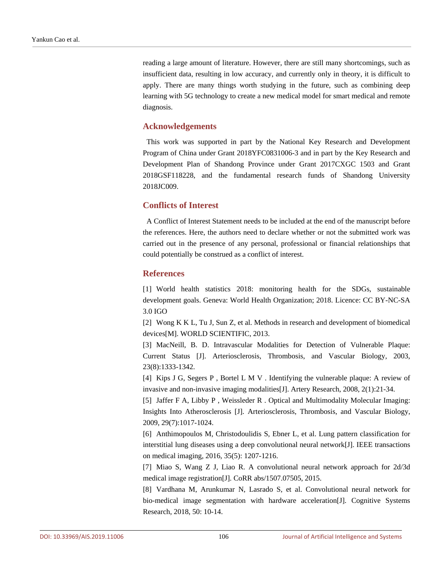reading a large amount of literature. However, there are still many shortcomings, such as insufficient data, resulting in low accuracy, and currently only in theory, it is difficult to apply. There are many things worth studying in the future, such as combining deep learning with 5G technology to create a new medical model for smart medical and remote diagnosis.

## **Acknowledgements**

This work was supported in part by the National Key Research and Development Program of China under Grant 2018YFC0831006-3 and in part by the Key Research and Development Plan of Shandong Province under Grant 2017CXGC 1503 and Grant 2018GSF118228, and the fundamental research funds of Shandong University 2018JC009.

## **Conflicts of Interest**

A Conflict of Interest Statement needs to be included at the end of the manuscript before the references. Here, the authors need to declare whether or not the submitted work was carried out in the presence of any personal, professional or financial relationships that could potentially be construed as a conflict of interest.

## **References**

<span id="page-10-0"></span>[1] World health statistics 2018: monitoring health for the SDGs, sustainable development goals. Geneva: World Health Organization; 2018. Licence: CC BY-NC-SA 3.0 IGO

<span id="page-10-1"></span>[2] Wong K K L, Tu J, Sun Z, et al. Methods in research and development of biomedical devices[M]. WORLD SCIENTIFIC, 2013.

[3] MacNeill, B. D. Intravascular Modalities for Detection of Vulnerable Plaque: Current Status [J]. Arteriosclerosis, Thrombosis, and Vascular Biology, 2003, 23(8):1333-1342.

<span id="page-10-2"></span>[4] Kips J G, Segers P , Bortel L M V . Identifying the vulnerable plaque: A review of invasive and non-invasive imaging modalities[J]. Artery Research, 2008, 2(1):21-34.

[5] Jaffer F A, Libby P , Weissleder R . Optical and Multimodality Molecular Imaging: Insights Into Atherosclerosis [J]. Arteriosclerosis, Thrombosis, and Vascular Biology, 2009, 29(7):1017-1024.

<span id="page-10-3"></span>[6] Anthimopoulos M, Christodoulidis S, Ebner L, et al. Lung pattern classification for interstitial lung diseases using a deep convolutional neural network[J]. IEEE transactions on medical imaging, 2016, 35(5): 1207-1216.

[7] Miao S, Wang Z J, Liao R. A convolutional neural network approach for 2d/3d medical image registration[J]. CoRR abs/1507.07505, 2015.

<span id="page-10-4"></span>[8] Vardhana M, Arunkumar N, Lasrado S, et al. Convolutional neural network for bio-medical image segmentation with hardware acceleration[J]. Cognitive Systems Research, 2018, 50: 10-14.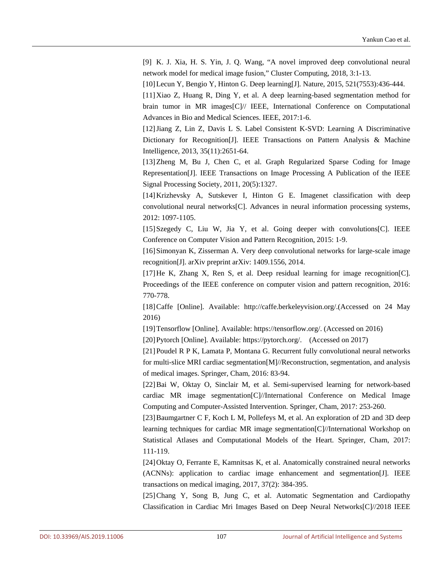[9] K. J. Xia, H. S. Yin, J. Q. Wang, "A novel improved deep convolutional neural network model for medical image fusion," Cluster Computing, 2018, 3:1-13.

<span id="page-11-1"></span><span id="page-11-0"></span>[10]Lecun Y, Bengio Y, Hinton G. Deep learning[J]. Nature, 2015, 521(7553):436-444.

[11]Xiao Z, Huang R, Ding Y, et al. A deep learning-based segmentation method for brain tumor in MR images[C]// IEEE, International Conference on Computational Advances in Bio and Medical Sciences. IEEE, 2017:1-6.

<span id="page-11-2"></span>[12]Jiang Z, Lin Z, Davis L S. Label Consistent K-SVD: Learning A Discriminative Dictionary for Recognition[J]. IEEE Transactions on Pattern Analysis & Machine Intelligence, 2013, 35(11):2651-64.

<span id="page-11-3"></span>[13]Zheng M, Bu J, Chen C, et al. Graph Regularized Sparse Coding for Image Representation[J]. IEEE Transactions on Image Processing A Publication of the IEEE Signal Processing Society, 2011, 20(5):1327.

<span id="page-11-4"></span>[14]Krizhevsky A, Sutskever I, Hinton G E. Imagenet classification with deep convolutional neural networks[C]. Advances in neural information processing systems, 2012: 1097-1105.

<span id="page-11-5"></span> $[15]$ Szegedy C, Liu W, Jia Y, et al. Going deeper with convolutions [C]. IEEE Conference on Computer Vision and Pattern Recognition, 2015: 1-9.

<span id="page-11-6"></span>[16]Simonyan K, Zisserman A. Very deep convolutional networks for large-scale image recognition[J]. arXiv preprint arXiv: 1409.1556, 2014.

<span id="page-11-7"></span>[17]He K, Zhang X, Ren S, et al. Deep residual learning for image recognition[C]. Proceedings of the IEEE conference on computer vision and pattern recognition, 2016: 770-778.

<span id="page-11-8"></span>[18]Caffe [Online]. Available: http://caffe.berkeleyvision.org/.(Accessed on 24 May 2016)

<span id="page-11-9"></span>[19]Tensorflow [Online]. Available: https://tensorflow.org/. (Accessed on 2016)

<span id="page-11-11"></span><span id="page-11-10"></span>[20]Pytorch [Online]. Available: https://pytorch.org/. (Accessed on 2017)

[21]Poudel R P K, Lamata P, Montana G. Recurrent fully convolutional neural networks for multi-slice MRI cardiac segmentation[M]//Reconstruction, segmentation, and analysis of medical images. Springer, Cham, 2016: 83-94.

<span id="page-11-12"></span>[22]Bai W, Oktay O, Sinclair M, et al. Semi-supervised learning for network-based cardiac MR image segmentation[C]//International Conference on Medical Image Computing and Computer-Assisted Intervention. Springer, Cham, 2017: 253-260.

<span id="page-11-13"></span>[23]Baumgartner C F, Koch L M, Pollefeys M, et al. An exploration of 2D and 3D deep learning techniques for cardiac MR image segmentation[C]//International Workshop on Statistical Atlases and Computational Models of the Heart. Springer, Cham, 2017: 111-119.

<span id="page-11-14"></span>[24]Oktay O, Ferrante E, Kamnitsas K, et al. Anatomically constrained neural networks (ACNNs): application to cardiac image enhancement and segmentation[J]. IEEE transactions on medical imaging, 2017, 37(2): 384-395.

<span id="page-11-15"></span>[25]Chang Y, Song B, Jung C, et al. Automatic Segmentation and Cardiopathy Classification in Cardiac Mri Images Based on Deep Neural Networks[C]//2018 IEEE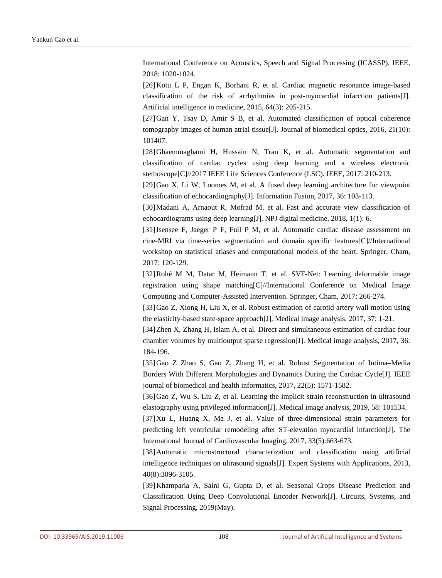International Conference on Acoustics, Speech and Signal Processing (ICASSP). IEEE, 2018: 1020-1024.

<span id="page-12-0"></span>[26]Kotu L P, Engan K, Borhani R, et al. Cardiac magnetic resonance image-based classification of the risk of arrhythmias in post-myocardial infarction patients[J]. Artificial intelligence in medicine, 2015, 64(3): 205-215.

<span id="page-12-1"></span>[27]Gan Y, Tsay D, Amir S B, et al. Automated classification of optical coherence tomography images of human atrial tissue [J]. Journal of biomedical optics,  $2016$ ,  $21(10)$ : 101407.

<span id="page-12-2"></span>[28]Ghaemmaghami H, Hussain N, Tran K, et al. Automatic segmentation and classification of cardiac cycles using deep learning and a wireless electronic stethoscope[C]//2017 IEEE Life Sciences Conference (LSC). IEEE, 2017: 210-213.

<span id="page-12-3"></span>[29]Gao X, Li W, Loomes M, et al. A fused deep learning architecture for viewpoint classification of echocardiography[J]. Information Fusion, 2017, 36: 103-113.

<span id="page-12-4"></span>[30]Madani A, Arnaout R, Mofrad M, et al. Fast and accurate view classification of echocardiograms using deep learning[J]. NPJ digital medicine, 2018, 1(1): 6.

<span id="page-12-5"></span>[31]Isensee F, Jaeger P F, Full P M, et al. Automatic cardiac disease assessment on cine-MRI via time-series segmentation and domain specific features[C]//International workshop on statistical atlases and computational models of the heart. Springer, Cham, 2017: 120-129.

<span id="page-12-6"></span>[32]Rohé M M, Datar M, Heimann T, et al. SVF-Net: Learning deformable image registration using shape matching[C]//International Conference on Medical Image Computing and Computer-Assisted Intervention. Springer, Cham, 2017: 266-274.

<span id="page-12-7"></span>[33]Gao Z, Xiong H, Liu X, et al. Robust estimation of carotid artery wall motion using the elasticity-based state-space approach[J]. Medical image analysis, 2017, 37: 1-21.

<span id="page-12-8"></span>[34]Zhen X, Zhang H, Islam A, et al. Direct and simultaneous estimation of cardiac four chamber volumes by multioutput sparse regression[J]. Medical image analysis, 2017, 36: 184-196.

<span id="page-12-9"></span>[35]Gao Z Zhao S, Gao Z, Zhang H, et al. Robust Segmentation of Intima–Media Borders With Different Morphologies and Dynamics During the Cardiac Cycle[J]. IEEE journal of biomedical and health informatics, 2017, 22(5): 1571-1582.

[36]Gao Z, Wu S, Liu Z, et al. Learning the implicit strain reconstruction in ultrasound elastography using privileged information[J]. Medical image analysis, 2019, 58: 101534.

<span id="page-12-11"></span><span id="page-12-10"></span>[37]Xu L, Huang X, Ma J, et al. Value of three-dimensional strain parameters for predicting left ventricular remodeling after ST-elevation myocardial infarction[J]. The International Journal of Cardiovascular Imaging, 2017, 33(5):663-673.

<span id="page-12-12"></span>[38]Automatic microstructural characterization and classification using artificial intelligence techniques on ultrasound signals[J]. Expert Systems with Applications, 2013, 40(8):3096-3105.

[39]Khamparia A, Saini G, Gupta D, et al. Seasonal Crops Disease Prediction and Classification Using Deep Convolutional Encoder Network[J]. Circuits, Systems, and Signal Processing, 2019(May).